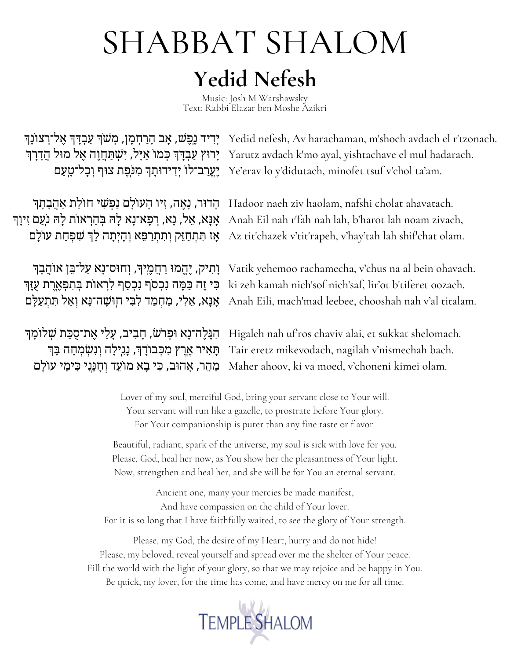# **Yedid Nefesh** SHABBAT SHALOM

Music: Josh M Warshawsky Text: Rabbi Elazar ben Moshe Azikri

יְרִיד נֶפֶשׁ, אָב הָרַחְמָן, מְשֹׁךְ עַבְדָּךְ אֶל־רְצוֹנָךְ Yedid nefesh, Av harachaman, m'shoch avdach el r'tzonach. יִרוּץ עַבְדָּךְ כְּמוֹ אַיָּל, יִשְׁתַחֲוֶה אֶל מוּל הֲדָרָךְ Yarutz avdach k'mo ayal, yishtachave el mul hadarach. יֶאֱרַב־לוֹ יְדִידוּתָךְ מִנִּפֶת צוּף יְכָל־טָעַם Ye'erav lo y'didutach, minofet tsuf v'chol ta'am.

הָדוּר, נָאֶה, זִיו הָעוֹלָם נַפְּשִׁי חוֹלַת אַהֲבָתָה Dadoor naeh ziv haolam, nafshi cholat ahavatach. אָנָא, אֲל, נָא, רְפָא־נָא לְה בְּהַרְאוֹת לָה נִעַם זִיוַךְ Anah Eil nah r'fah nah lah, b'harot lah noam zivach, ָאז תִּתְחַזֵּק וְתִתְרַפֵּא וְהָיְתָה לָךְ שִׁפְחַת עוֹלָם Az tit'chazek v'tit'rapeh, v'hay'tah lah shif'chat olam.

ָוְתִיק, יֶהֱמוּ רַחֲמֶיךָ, וְחוּס־<mark>נָא עַל־בֵּן אוֹהֲבָךְ Vatik yehemoo rachamecha, v'chus na al bein ohavach.</mark> ּבִּי זֶה כַּמָּה נִבְסֹף לִרְאוֹת בְּתִפְאֶרֶת עֻזָּךְ ki zeh kamah nich'sof nich'saf, lir'ot b'tiferet oozach. אָנָא, אֵלִי, מַחְמַד לִבִּי חְוּשָׁה־נָא יְאַל תִּתְעַלָּם Anah Eili, mach'mad leebee, chooshah nah v'al titalam.

ּהִגָּלֶה־נָא וּפְרֹשׂ, חָבִיב, עָלַי אֶת־סֻכַּת שְׁלוֹמָן Higaleh nah uf'ros chaviv alai, et sukkat shelomach. תְּאִיר אֶרֶץ מִכְּבוֹדָךָ, נָגִילָה וְנִשְמְחָה בָּךְ Tair eretz mikevodach, nagilah v'nismechah bach. ַמֲהֵר, אָהוּב, כִּי בָא מוֹעֵד וְחָנֵנִי כִּימֵי עוֹלָם Maher ahoov, ki va moed, v'choneni kimei olam.

> Lover of my soul, merciful God, bring your servant close to Your will. Your servant will run like a gazelle, to prostrate before Your glory. For Your companionship is purer than any fine taste or flavor.

Beautiful, radiant, spark of the universe, my soul is sick with love for you. Please, God, heal her now, as You show her the pleasantness of Your light. Now, strengthen and heal her, and she will be for You an eternal servant.

Ancient one, many your mercies be made manifest, And have compassion on the child of Your lover. For it is so long that I have faithfully waited, to see the glory of Your strength.

Please, my God, the desire of my Heart, hurry and do not hide! Please, my beloved, reveal yourself and spread over me the shelter of Your peace. Fill the world with the light of your glory, so that we may rejoice and be happy in You. Be quick, my lover, for the time has come, and have mercy on me for all time.

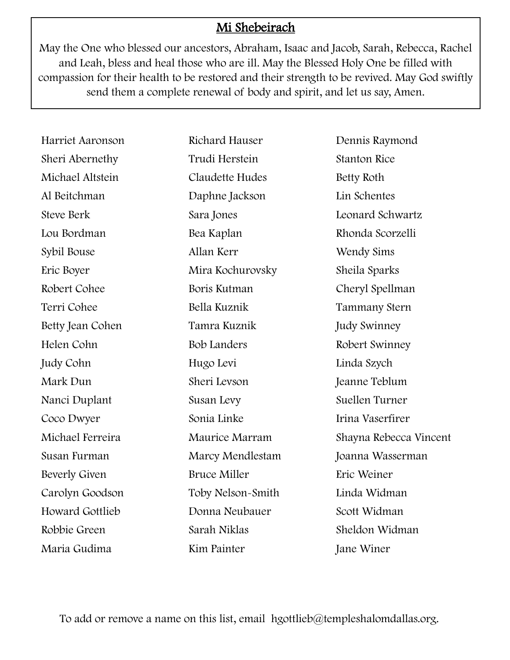## Mi Shebeirach

May the One who blessed our ancestors, Abraham, Isaac and Jacob, Sarah, Rebecca, Rachel and Leah, bless and heal those who are ill. May the Blessed Holy One be filled with compassion for their health to be restored and their strength to be revived. May God swiftly send them a complete renewal of body and spirit, and let us say, Amen.

Harriet Aaronson Sheri Abernethy Michael Altstein Al Beitchman Steve Berk Lou Bordman Sybil Bouse Eric Boyer Robert Cohee Terri Cohee Betty Jean Cohen Helen Cohn Judy Cohn Mark Dun Nanci Duplant Coco Dwyer Michael Ferreira Susan Furman Beverly Given Carolyn Goodson Howard Gottlieb Robbie Green Maria Gudima

Richard Hauser Trudi Herstein Claudette Hudes Daphne Jackson Sara Jones Bea Kaplan Allan Kerr Mira Kochurovsky Boris Kutman Bella Kuznik Tamra Kuznik Bob Landers Hugo Levi Sheri Levson Susan Levy Sonia Linke Maurice Marram Marcy Mendlestam Bruce Miller Toby Nelson-Smith Donna Neubauer Sarah Niklas Kim Painter

Dennis Raymond Stanton Rice Betty Roth Lin Schentes Leonard Schwartz Rhonda Scorzelli Wendy Sims Sheila Sparks Cheryl Spellman Tammany Stern Judy Swinney Robert Swinney Linda Szych Jeanne Teblum Suellen Turner Irina Vaserfirer Shayna Rebecca Vincent Joanna Wasserman Eric Weiner Linda Widman Scott Widman Sheldon Widman Jane Winer

To add or remove a name on this list, email hgottlieb@templeshalomdallas.org.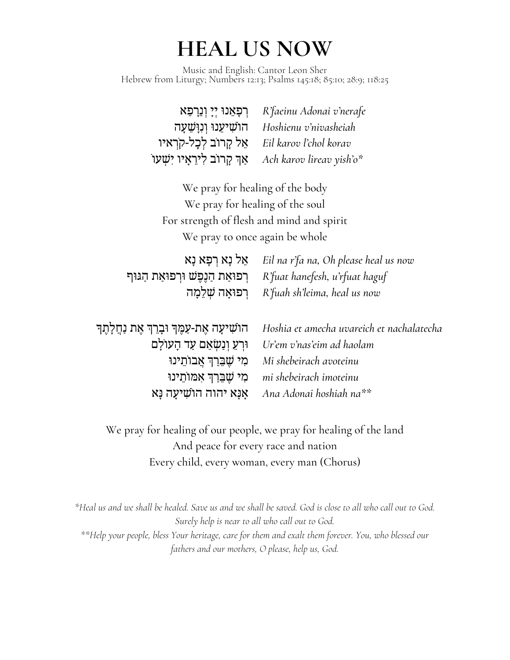# **HEAL US NOW**

Music and English: Cantor Leon Sher Hebrew from Liturgy; Numbers 12:13; Psalms 145:18; 85:10; 28:9; 118:25

| ּרְפָאֵנוּ יְיָ וְנֵרְפֵא   | R'faeinu Adonai v'nerafe |
|-----------------------------|--------------------------|
| הושִׁיעֵנוּ וְנִוַּשֵׁעַה   | Hoshienu v'nivasheiah    |
| אֵל קַרוֹב לְכַל-קרָאיו     | Eil karov ľchol korav    |
| אַך קרוב לִירֵאָיו יִשְׁעוֹ | Ach karov lireav yish'o* |

We pray for healing of the body We pray for healing of the soul For strength of flesh and mind and spirit We pray to once again be whole

*Eil na r'fa na, Oh please heal us now* ֵאל ָנא ְרָפא ָנא *R'fuat hanefesh, u'rfuat haguf* ְרפּוַאת ַהֶנֶפׁש ּוְרפּוַאת ַהּגּוף *R'fuah sh'leima, heal us now* ְרפּוָאה ְׁשֵלָמה

| הוֹשִׁיעָה אֵת-עַמֵּךְ וּבָרֵךְ אֵת נַחֲלָתֵךְ Hoshia et amecha uvareich et nachalatecha |
|------------------------------------------------------------------------------------------|
| וּרְעֵ וְנַשְׂאֵם עַד הַעוֹלַם Ur'em v'nas'eim ad haolam                                 |
| Mi shebeirach avoteinu                                                                   |
| mi shebeirach imoteinu                                                                   |
| אנא יהוה הושיעה נא Ana Adonai hoshiah na**                                               |

We pray for healing of our people, we pray for healing of the land And peace for every race and nation Every child, every woman, every man (Chorus)

\*Heal us and we shall be healed. Save us and we shall be saved. God is close to all who call out to God. *Surely help is near to all who call out to God. \*\*Help your people, bless Your heritage, care for them and exalt them forever. You, who blessed our fathers and our mothers, O please, help us, God.*